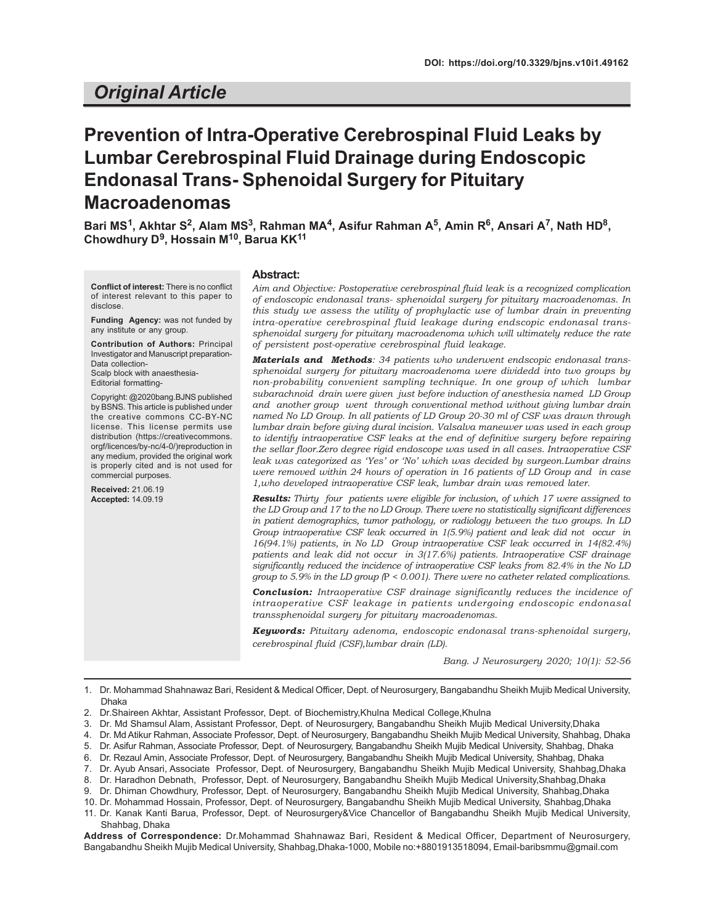## *Original Article*

# **Prevention of Intra-Operative Cerebrospinal Fluid Leaks by Lumbar Cerebrospinal Fluid Drainage during Endoscopic Endonasal Trans- Sphenoidal Surgery for Pituitary Macroadenomas**

 $\mathsf{Bari}\ \mathsf{MS^1},$  Akhtar S<sup>2</sup>, Alam MS<sup>3</sup>, Rahman MA<sup>4</sup>, Asifur Rahman A<sup>5</sup>, Amin R<sup>6</sup>, Ansari A<sup>7</sup>, Nath HD<sup>8</sup>, **Chowdhury D<sup>9</sup> , Hossain M10, Barua KK<sup>11</sup>**

**Conflict of interest:** There is no conflict of interest relevant to this paper to disclose.

**Funding Agency:** was not funded by any institute or any group.

**Contribution of Authors:** Principal Investigator and Manuscript preparation-Data collection-Scalp block with anaesthesia-Editorial formatting-

Copyright: @2020bang.BJNS published by BSNS. This article is published under the creative commons CC-BY-NC license. This license permits use distribution (https://creativecommons. orgf/licences/by-nc/4-0/)reproduction in any medium, provided the original work is properly cited and is not used for commercial purposes.

**Received:** 21.06.19 **Accepted:** 14.09.19

#### **Abstract:**

*Aim and Objective: Postoperative cerebrospinal fluid leak is a recognized complication of endoscopic endonasal trans- sphenoidal surgery for pituitary macroadenomas. In this study we assess the utility of prophylactic use of lumbar drain in preventing intra-operative cerebrospinal fluid leakage during endscopic endonasal transsphenoidal surgery for pituitary macroadenoma which will ultimately reduce the rate of persistent post-operative cerebrospinal fluid leakage.*

*Materials and Methods: 34 patients who underwent endscopic endonasal transsphenoidal surgery for pituitary macroadenoma were dividedd into two groups by non-probability convenient sampling technique. In one group of which lumbar subarachnoid drain were given just before induction of anesthesia named LD Group and another group went through conventional method without giving lumbar drain named No LD Group. In all patients of LD Group 20-30 ml of CSF was drawn through lumbar drain before giving dural incision. Valsalva maneuver was used in each group to identify intraoperative CSF leaks at the end of definitive surgery before repairing the sellar floor.Zero degree rigid endoscope was used in all cases. Intraoperative CSF leak was categorized as 'Yes' or 'No' which was decided by surgeon.Lumbar drains were removed within 24 hours of operation in 16 patients of LD Group and in case 1,who developed intraoperative CSF leak, lumbar drain was removed later.*

*Results: Thirty four patients were eligible for inclusion, of which 17 were assigned to the LD Group and 17 to the no LD Group. There were no statistically significant differences in patient demographics, tumor pathology, or radiology between the two groups. In LD Group intraoperative CSF leak occurred in 1(5.9%) patient and leak did not occur in 16(94.1%) patients, in No LD Group intraoperative CSF leak occurred in 14(82.4%) patients and leak did not occur in 3(17.6%) patients. Intraoperative CSF drainage significantly reduced the incidence of intraoperative CSF leaks from 82.4% in the No LD group to 5.9% in the LD group (*P *< 0.001). There were no catheter related complications.*

*Conclusion: Intraoperative CSF drainage significantly reduces the incidence of intraoperative CSF leakage in patients undergoing endoscopic endonasal transsphenoidal surgery for pituitary macroadenomas.*

*Keywords: Pituitary adenoma, endoscopic endonasal trans-sphenoidal surgery, cerebrospinal fluid (CSF),lumbar drain (LD).*

*Bang. J Neurosurgery 2020; 10(1): 52-56*

1. Dr. Mohammad Shahnawaz Bari, Resident & Medical Officer, Dept. of Neurosurgery, Bangabandhu Sheikh Mujib Medical University, Dhaka

- 2. Dr.Shaireen Akhtar, Assistant Professor, Dept. of Biochemistry,Khulna Medical College,Khulna
- 3. Dr. Md Shamsul Alam, Assistant Professor, Dept. of Neurosurgery, Bangabandhu Sheikh Mujib Medical University,Dhaka
- 4. Dr. Md Atikur Rahman, Associate Professor, Dept. of Neurosurgery, Bangabandhu Sheikh Mujib Medical University, Shahbag, Dhaka
- 5. Dr. Asifur Rahman, Associate Professor, Dept. of Neurosurgery, Bangabandhu Sheikh Mujib Medical University, Shahbag, Dhaka
- 6. Dr. Rezaul Amin, Associate Professor, Dept. of Neurosurgery, Bangabandhu Sheikh Mujib Medical University, Shahbag, Dhaka
- 7. Dr. Ayub Ansari, Associate Professor, Dept. of Neurosurgery, Bangabandhu Sheikh Mujib Medical University, Shahbag,Dhaka
- 8. Dr. Haradhon Debnath, Professor, Dept. of Neurosurgery, Bangabandhu Sheikh Mujib Medical University,Shahbag,Dhaka
- 9. Dr. Dhiman Chowdhury, Professor, Dept. of Neurosurgery, Bangabandhu Sheikh Mujib Medical University, Shahbag,Dhaka
- 10. Dr. Mohammad Hossain, Professor, Dept. of Neurosurgery, Bangabandhu Sheikh Mujib Medical University, Shahbag,Dhaka
- 11. Dr. Kanak Kanti Barua, Professor, Dept. of Neurosurgery&Vice Chancellor of Bangabandhu Sheikh Mujib Medical University, Shahbag, Dhaka

**Address of Correspondence:** Dr.Mohammad Shahnawaz Bari, Resident & Medical Officer, Department of Neurosurgery, Bangabandhu Sheikh Mujib Medical University, Shahbag,Dhaka-1000, Mobile no:+8801913518094, Email-baribsmmu@gmail.com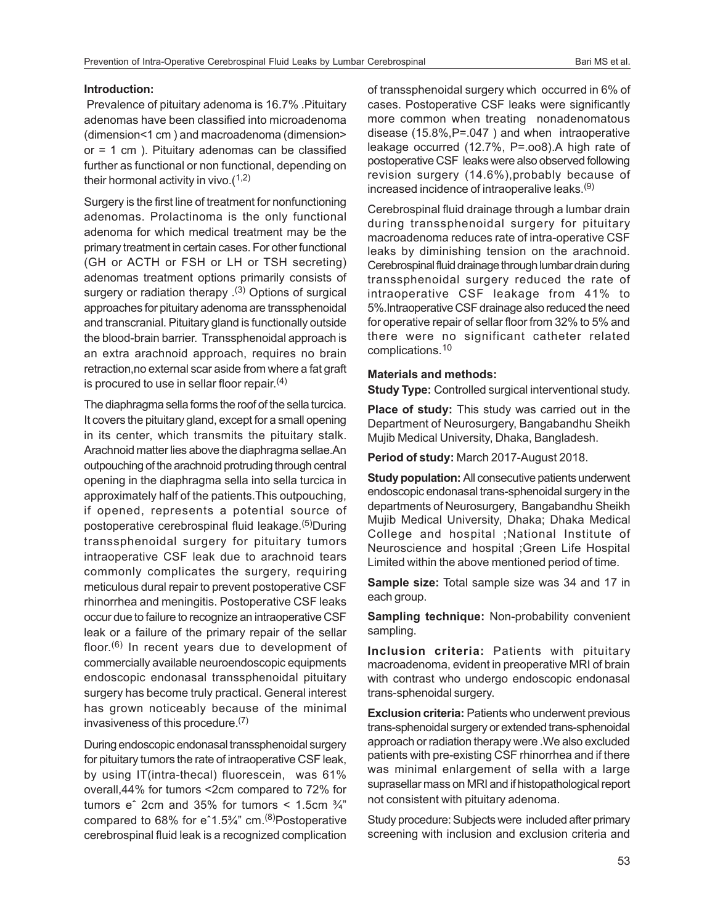### **Introduction:**

 Prevalence of pituitary adenoma is 16.7% .Pituitary adenomas have been classified into microadenoma (dimension<1 cm ) and macroadenoma (dimension> or = 1 cm ). Pituitary adenomas can be classified further as functional or non functional, depending on their hormonal activity in vivo. $(1,2)$ 

Surgery is the first line of treatment for nonfunctioning adenomas. Prolactinoma is the only functional adenoma for which medical treatment may be the primary treatment in certain cases. For other functional (GH or ACTH or FSH or LH or TSH secreting) adenomas treatment options primarily consists of surgery or radiation therapy  $(3)$  Options of surgical approaches for pituitary adenoma are transsphenoidal and transcranial. Pituitary gland is functionally outside the blood-brain barrier. Transsphenoidal approach is an extra arachnoid approach, requires no brain retraction,no external scar aside from where a fat graft is procured to use in sellar floor repair.<sup>(4)</sup>

The diaphragma sella forms the roof of the sella turcica. It covers the pituitary gland, except for a small opening in its center, which transmits the pituitary stalk. Arachnoid matter lies above the diaphragma sellae.An outpouching of the arachnoid protruding through central opening in the diaphragma sella into sella turcica in approximately half of the patients.This outpouching, if opened, represents a potential source of postoperative cerebrospinal fluid leakage.<sup>(5)</sup>During transsphenoidal surgery for pituitary tumors intraoperative CSF leak due to arachnoid tears commonly complicates the surgery, requiring meticulous dural repair to prevent postoperative CSF rhinorrhea and meningitis. Postoperative CSF leaks occur due to failure to recognize an intraoperative CSF leak or a failure of the primary repair of the sellar floor.<sup>(6)</sup> In recent years due to development of commercially available neuroendoscopic equipments endoscopic endonasal transsphenoidal pituitary surgery has become truly practical. General interest has grown noticeably because of the minimal invasiveness of this procedure.(7)

During endoscopic endonasal transsphenoidal surgery for pituitary tumors the rate of intraoperative CSF leak, by using IT(intra-thecal) fluorescein, was 61% overall,44% for tumors <2cm compared to 72% for tumors  $e^{\hat{i}}$  2cm and 35% for tumors < 1.5cm  $\frac{3}{4}$ " compared to 68% for eˆ1.5¾" cm.(8)Postoperative cerebrospinal fluid leak is a recognized complication of transsphenoidal surgery which occurred in 6% of cases. Postoperative CSF leaks were significantly more common when treating nonadenomatous disease (15.8%,P=.047 ) and when intraoperative leakage occurred (12.7%, P=.oo8).A high rate of postoperative CSF leaks were also observed following revision surgery (14.6%),probably because of increased incidence of intraoperalive leaks.(9)

Cerebrospinal fluid drainage through a lumbar drain during transsphenoidal surgery for pituitary macroadenoma reduces rate of intra-operative CSF leaks by diminishing tension on the arachnoid. Cerebrospinal fluid drainage through lumbar drain during transsphenoidal surgery reduced the rate of intraoperative CSF leakage from 41% to 5%.Intraoperative CSF drainage also reduced the need for operative repair of sellar floor from 32% to 5% and there were no significant catheter related complications.<sup>10</sup>

### **Materials and methods:**

**Study Type:** Controlled surgical interventional study.

**Place of study:** This study was carried out in the Department of Neurosurgery, Bangabandhu Sheikh Mujib Medical University, Dhaka, Bangladesh.

**Period of study:** March 2017-August 2018.

**Study population:** All consecutive patients underwent endoscopic endonasal trans-sphenoidal surgery in the departments of Neurosurgery, Bangabandhu Sheikh Mujib Medical University, Dhaka; Dhaka Medical College and hospital ;National Institute of Neuroscience and hospital ;Green Life Hospital Limited within the above mentioned period of time.

**Sample size:** Total sample size was 34 and 17 in each group.

**Sampling technique:** Non-probability convenient sampling.

**Inclusion criteria:** Patients with pituitary macroadenoma, evident in preoperative MRI of brain with contrast who undergo endoscopic endonasal trans-sphenoidal surgery.

**Exclusion criteria: Patients who underwent previous** trans-sphenoidal surgery or extended trans-sphenoidal approach or radiation therapy were .We also excluded patients with pre-existing CSF rhinorrhea and if there was minimal enlargement of sella with a large suprasellar mass on MRI and if histopathological report not consistent with pituitary adenoma.

Study procedure: Subjects were included after primary screening with inclusion and exclusion criteria and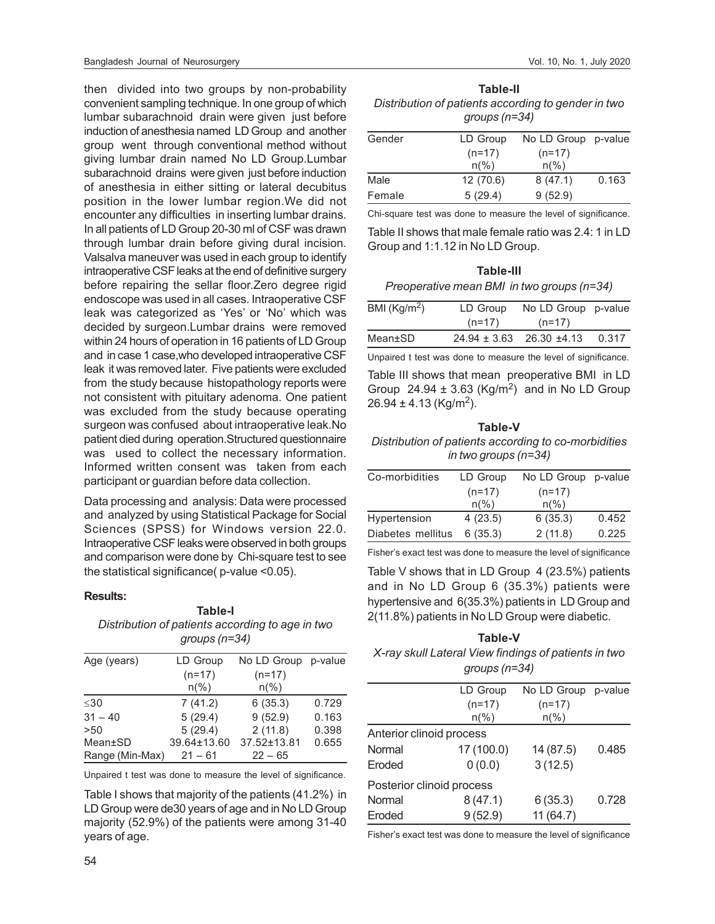then divided into two groups by non-probability convenient sampling technique. In one group of which lumbar subarachnoid drain were given just before induction of anesthesia named LD Group and another group went through conventional method without giving lumbar drain named No LD Group.Lumbar subarachnoid drains were given just before induction of anesthesia in either sitting or lateral decubitus position in the lower lumbar region.We did not encounter any difficulties in inserting lumbar drains. In all patients of LD Group 20-30 ml of CSF was drawn through lumbar drain before giving dural incision. Valsalva maneuver was used in each group to identify intraoperative CSF leaks at the end of definitive surgery before repairing the sellar floor.Zero degree rigid endoscope was used in all cases. Intraoperative CSF leak was categorized as 'Yes' or 'No' which was decided by surgeon.Lumbar drains were removed within 24 hours of operation in 16 patients of LD Group and in case 1 case,who developed intraoperative CSF leak it was removed later. Five patients were excluded from the study because histopathology reports were not consistent with pituitary adenoma. One patient was excluded from the study because operating surgeon was confused about intraoperative leak.No patient died during operation.Structured questionnaire was used to collect the necessary information. Informed written consent was taken from each participant or guardian before data collection.

Data processing and analysis: Data were processed and analyzed by using Statistical Package for Social Sciences (SPSS) for Windows version 22.0. Intraoperative CSF leaks were observed in both groups and comparison were done by Chi-square test to see the statistical significance( p-value <0.05).

### **Results:**

### **Table-I** *Distribution of patients according to age in two groups (n=34)*

| LD Group       | No LD Group p-value |       |
|----------------|---------------------|-------|
| $(n=17)$       | $(n=17)$            |       |
| $n\frac{6}{6}$ | $n\frac{9}{6}$      |       |
| 7(41.2)        | 6(35.3)             | 0.729 |
| 5(29.4)        | 9(52.9)             | 0.163 |
| 5(29.4)        | 2(11.8)             | 0.398 |
| 39.64±13.60    | 37.52±13.81         | 0.655 |
| $21 - 61$      | $22 - 65$           |       |
|                |                     |       |

Unpaired t test was done to measure the level of significance.

Table I shows that majority of the patients (41.2%) in LD Group were de30 years of age and in No LD Group majority (52.9%) of the patients were among 31-40 years of age.

| Table-II                                            |  |  |  |
|-----------------------------------------------------|--|--|--|
| Distribution of patients according to gender in two |  |  |  |
| groups (n=34)                                       |  |  |  |

| Gender | LD Group       | No LD Group p-value |       |
|--------|----------------|---------------------|-------|
|        | $(n=17)$       | $(n=17)$            |       |
|        | $n\frac{9}{6}$ | $n\frac{9}{6}$      |       |
| Male   | 12(70.6)       | 8(47.1)             | 0.163 |
| Female | 5(29.4)        | 9(52.9)             |       |
|        |                |                     |       |

Chi-square test was done to measure the level of significance.

Table II shows that male female ratio was 2.4: 1 in LD Group and 1:1.12 in No LD Group.

## **Table-III** *Preoperative mean BMI in two groups (n=34)*

| BMI ( $\text{Kg/m}^2$ ) | LD Group | No LD Group p-value               |       |
|-------------------------|----------|-----------------------------------|-------|
|                         | $(n=17)$ | $(n=17)$                          |       |
| Mean±SD                 |          | $24.94 \pm 3.63$ 26.30 $\pm 4.13$ | 0.317 |

Unpaired t test was done to measure the level of significance.

Table III shows that mean preoperative BMI in LD Group  $24.94 \pm 3.63$  (Kg/m<sup>2</sup>) and in No LD Group  $26.94 \pm 4.13$  (Kg/m<sup>2</sup>).

### **Table-V** *Distribution of patients according to co-morbidities in two groups (n=34)*

| Co-morbidities    | LD Group       | No LD Group p-value |       |
|-------------------|----------------|---------------------|-------|
|                   | $(n=17)$       | $(n=17)$            |       |
|                   | $n\frac{9}{6}$ | $n\frac{9}{6}$      |       |
| Hypertension      | 4(23.5)        | 6(35.3)             | 0.452 |
| Diabetes mellitus | 6(35.3)        | 2(11.8)             | 0.225 |

Fisher's exact test was done to measure the level of significance

Table V shows that in LD Group 4 (23.5%) patients and in No LD Group 6 (35.3%) patients were hypertensive and 6(35.3%) patients in LD Group and 2(11.8%) patients in No LD Group were diabetic.

### **Table-V**

*X-ray skull Lateral View findings of patients in two groups (n=34)*

|                           | LD Group       | No LD Group p-value |       |
|---------------------------|----------------|---------------------|-------|
|                           | $(n=17)$       | $(n=17)$            |       |
|                           | $n\frac{6}{6}$ | $n\frac{6}{6}$      |       |
| Anterior clinoid process  |                |                     |       |
| Normal                    | 17 (100.0)     | 14 (87.5)           | 0.485 |
| Eroded                    | 0(0.0)         | 3(12.5)             |       |
| Posterior clinoid process |                |                     |       |
| Normal                    | 8(47.1)        | 6(35.3)             | 0.728 |
| Eroded                    | 9(52.9)        | 11(64.7)            |       |

Fisher's exact test was done to measure the level of significance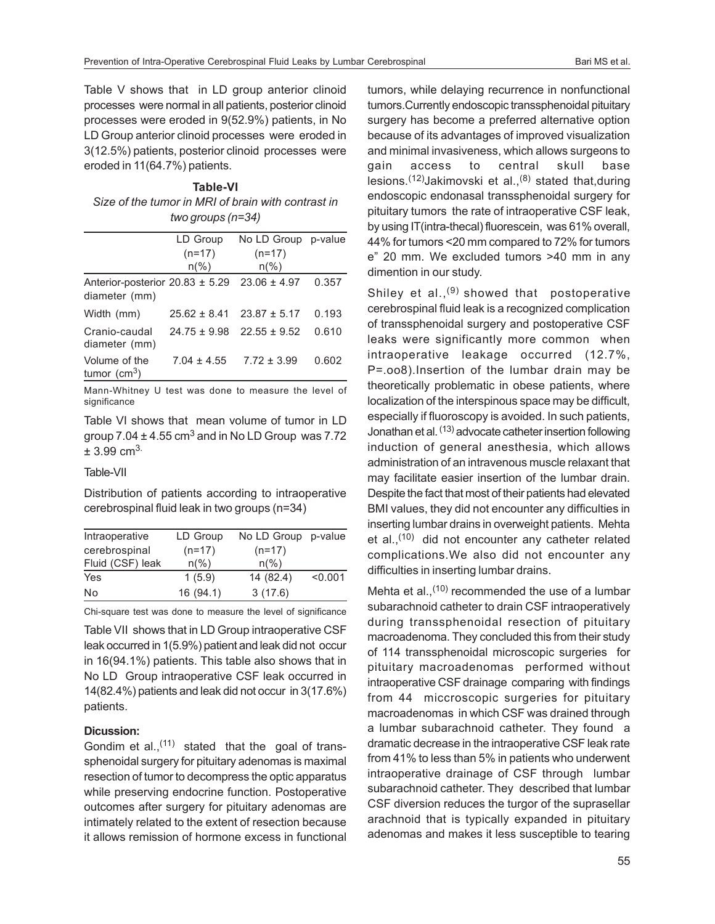Table V shows that in LD group anterior clinoid processes were normal in all patients, posterior clinoid processes were eroded in 9(52.9%) patients, in No LD Group anterior clinoid processes were eroded in 3(12.5%) patients, posterior clinoid processes were eroded in 11(64.7%) patients.

**Table-VI** *Size of the tumor in MRI of brain with contrast in two groups (n=34)*

|                                                      | LD Group                   | No LD Group p-value        |       |
|------------------------------------------------------|----------------------------|----------------------------|-------|
|                                                      | $(n=17)$<br>$n\frac{9}{6}$ | $(n=17)$<br>$n\frac{6}{6}$ |       |
|                                                      |                            |                            |       |
| Anterior-posterior $20.83 \pm 5.29$<br>diameter (mm) |                            | $23.06 \pm 4.97$           | 0.357 |
|                                                      |                            |                            |       |
| Width (mm)                                           | $25.62 \pm 8.41$           | $23.87 \pm 5.17$           | 0.193 |
| Cranio-caudal<br>diameter (mm)                       | $24.75 \pm 9.98$           | $22.55 \pm 9.52$           | 0.610 |
| Volume of the<br>tumor $(cm^3)$                      | $7.04 \pm 4.55$            | $7.72 \pm 3.99$            | 0.602 |

Mann-Whitney U test was done to measure the level of significance

Table VI shows that mean volume of tumor in LD group  $7.04 \pm 4.55$  cm<sup>3</sup> and in No LD Group was  $7.72$  $± 3.99$  cm<sup>3.</sup>

### Table-VII

Distribution of patients according to intraoperative cerebrospinal fluid leak in two groups (n=34)

| Intraoperative   | LD Group       | No LD Group p-value |         |
|------------------|----------------|---------------------|---------|
| cerebrospinal    | $(n=17)$       | $(n=17)$            |         |
| Fluid (CSF) leak | $n\frac{9}{6}$ | $n\frac{9}{6}$      |         |
| Yes              | 1(5.9)         | 14 (82.4)           | < 0.001 |
| No               | 16(94.1)       | 3(17.6)             |         |

Chi-square test was done to measure the level of significance

Table VII shows that in LD Group intraoperative CSF leak occurred in 1(5.9%) patient and leak did not occur in 16(94.1%) patients. This table also shows that in No LD Group intraoperative CSF leak occurred in 14(82.4%) patients and leak did not occur in 3(17.6%) patients.

### **Dicussion:**

Gondim et al., $(11)$  stated that the goal of transsphenoidal surgery for pituitary adenomas is maximal resection of tumor to decompress the optic apparatus while preserving endocrine function. Postoperative outcomes after surgery for pituitary adenomas are intimately related to the extent of resection because it allows remission of hormone excess in functional tumors, while delaying recurrence in nonfunctional tumors.Currently endoscopic transsphenoidal pituitary surgery has become a preferred alternative option because of its advantages of improved visualization and minimal invasiveness, which allows surgeons to gain access to central skull base lesions.<sup>(12)</sup>Jakimovski et al.,<sup>(8)</sup> stated that, during endoscopic endonasal transsphenoidal surgery for pituitary tumors the rate of intraoperative CSF leak, by using IT(intra-thecal) fluorescein, was 61% overall, 44% for tumors <20 mm compared to 72% for tumors e" 20 mm. We excluded tumors >40 mm in any dimention in our study.

Shiley et al., $(9)$  showed that postoperative cerebrospinal fluid leak is a recognized complication of transsphenoidal surgery and postoperative CSF leaks were significantly more common when intraoperative leakage occurred (12.7%, P=.oo8).Insertion of the lumbar drain may be theoretically problematic in obese patients, where localization of the interspinous space may be difficult, especially if fluoroscopy is avoided. In such patients, Jonathan et al. (13) advocate catheter insertion following induction of general anesthesia, which allows administration of an intravenous muscle relaxant that may facilitate easier insertion of the lumbar drain. Despite the fact that most of their patients had elevated BMI values, they did not encounter any difficulties in inserting lumbar drains in overweight patients. Mehta et al., $(10)$  did not encounter any catheter related complications.We also did not encounter any difficulties in inserting lumbar drains.

Mehta et al.,  $(10)$  recommended the use of a lumbar subarachnoid catheter to drain CSF intraoperatively during transsphenoidal resection of pituitary macroadenoma. They concluded this from their study of 114 transsphenoidal microscopic surgeries for pituitary macroadenomas performed without intraoperative CSF drainage comparing with findings from 44 miccroscopic surgeries for pituitary macroadenomas in which CSF was drained through a lumbar subarachnoid catheter. They found a dramatic decrease in the intraoperative CSF leak rate from 41% to less than 5% in patients who underwent intraoperative drainage of CSF through lumbar subarachnoid catheter. They described that lumbar CSF diversion reduces the turgor of the suprasellar arachnoid that is typically expanded in pituitary adenomas and makes it less susceptible to tearing